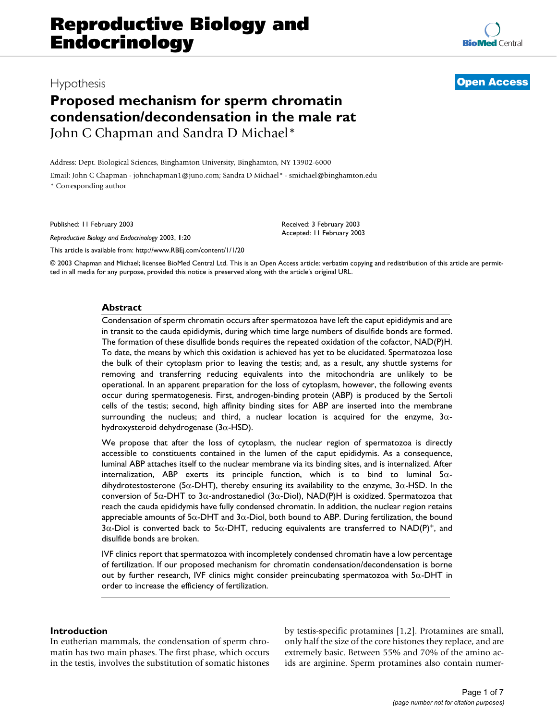# **Proposed mechanism for sperm chromatin condensation/decondensation in the male rat** John C Chapman and Sandra D Michael\*

Address: Dept. Biological Sciences, Binghamton University, Binghamton, NY 13902-6000

Email: John C Chapman - johnchapman1@juno.com; Sandra D Michael\* - smichael@binghamton.edu \* Corresponding author

Published: 11 February 2003

*Reproductive Biology and Endocrinology* 2003, **1**:20

[This article is available from: http://www.RBEj.com/content/1/1/20](http://www.RBEj.com/content/1/1/20)

© 2003 Chapman and Michael; licensee BioMed Central Ltd. This is an Open Access article: verbatim copying and redistribution of this article are permitted in all media for any purpose, provided this notice is preserved along with the article's original URL.

# **Abstract**

Condensation of sperm chromatin occurs after spermatozoa have left the caput epididymis and are in transit to the cauda epididymis, during which time large numbers of disulfide bonds are formed. The formation of these disulfide bonds requires the repeated oxidation of the cofactor, NAD(P)H. To date, the means by which this oxidation is achieved has yet to be elucidated. Spermatozoa lose the bulk of their cytoplasm prior to leaving the testis; and, as a result, any shuttle systems for removing and transferring reducing equivalents into the mitochondria are unlikely to be operational. In an apparent preparation for the loss of cytoplasm, however, the following events occur during spermatogenesis. First, androgen-binding protein (ABP) is produced by the Sertoli cells of the testis; second, high affinity binding sites for ABP are inserted into the membrane surrounding the nucleus; and third, a nuclear location is acquired for the enzyme,  $3\alpha$ hydroxysteroid dehydrogenase (3 $\alpha$ -HSD).

We propose that after the loss of cytoplasm, the nuclear region of spermatozoa is directly accessible to constituents contained in the lumen of the caput epididymis. As a consequence, luminal ABP attaches itself to the nuclear membrane via its binding sites, and is internalized. After internalization, ABP exerts its principle function, which is to bind to luminal  $5\alpha$ dihydrotestosterone (5 $\alpha$ -DHT), thereby ensuring its availability to the enzyme, 3 $\alpha$ -HSD. In the conversion of 5 $\alpha$ -DHT to 3 $\alpha$ -androstanediol (3 $\alpha$ -Diol), NAD(P)H is oxidized. Spermatozoa that reach the cauda epididymis have fully condensed chromatin. In addition, the nuclear region retains appreciable amounts of  $5\alpha$ -DHT and  $3\alpha$ -Diol, both bound to ABP. During fertilization, the bound  $3\alpha$ -Diol is converted back to  $5\alpha$ -DHT, reducing equivalents are transferred to NAD(P)<sup>+</sup>, and disulfide bonds are broken.

IVF clinics report that spermatozoa with incompletely condensed chromatin have a low percentage of fertilization. If our proposed mechanism for chromatin condensation/decondensation is borne out by further research, IVF clinics might consider preincubating spermatozoa with 5α-DHT in order to increase the efficiency of fertilization.

### **Introduction**

In eutherian mammals, the condensation of sperm chromatin has two main phases. The first phase, which occurs in the testis, involves the substitution of somatic histones by testis-specific protamines [1,2]. Protamines are small, only half the size of the core histones they replace, and are extremely basic. Between 55% and 70% of the amino acids are arginine. Sperm protamines also contain numer-



Received: 3 February 2003 Accepted: 11 February 2003

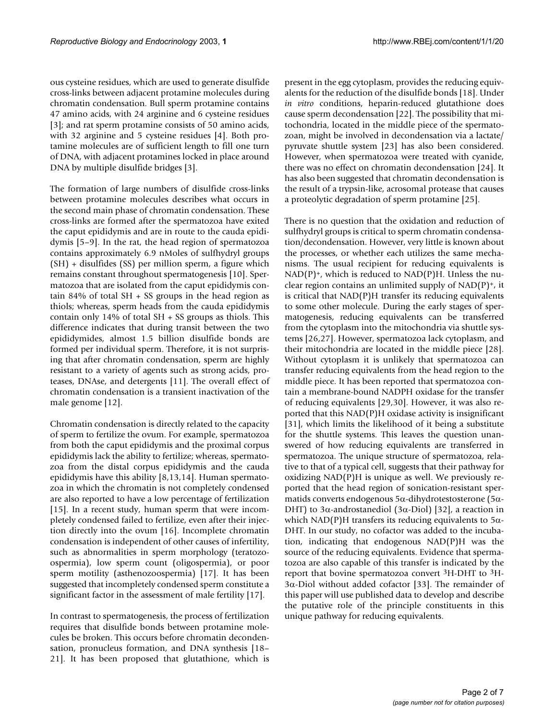ous cysteine residues, which are used to generate disulfide cross-links between adjacent protamine molecules during chromatin condensation. Bull sperm protamine contains 47 amino acids, with 24 arginine and 6 cysteine residues [3]; and rat sperm protamine consists of 50 amino acids, with 32 arginine and 5 cysteine residues [4]. Both protamine molecules are of sufficient length to fill one turn of DNA, with adjacent protamines locked in place around DNA by multiple disulfide bridges [3].

The formation of large numbers of disulfide cross-links between protamine molecules describes what occurs in the second main phase of chromatin condensation. These cross-links are formed after the spermatozoa have exited the caput epididymis and are in route to the cauda epididymis [5–9]. In the rat, the head region of spermatozoa contains approximately 6.9 nMoles of sulfhydryl groups (SH) + disulfides (SS) per million sperm, a figure which remains constant throughout spermatogenesis [10]. Spermatozoa that are isolated from the caput epididymis contain 84% of total SH + SS groups in the head region as thiols; whereas, sperm heads from the cauda epididymis contain only 14% of total SH + SS groups as thiols. This difference indicates that during transit between the two epididymides, almost 1.5 billion disulfide bonds are formed per individual sperm. Therefore, it is not surprising that after chromatin condensation, sperm are highly resistant to a variety of agents such as strong acids, proteases, DNAse, and detergents [11]. The overall effect of chromatin condensation is a transient inactivation of the male genome [12].

Chromatin condensation is directly related to the capacity of sperm to fertilize the ovum. For example, spermatozoa from both the caput epididymis and the proximal corpus epididymis lack the ability to fertilize; whereas, spermatozoa from the distal corpus epididymis and the cauda epididymis have this ability [8,13,14]. Human spermatozoa in which the chromatin is not completely condensed are also reported to have a low percentage of fertilization [15]. In a recent study, human sperm that were incompletely condensed failed to fertilize, even after their injection directly into the ovum [16]. Incomplete chromatin condensation is independent of other causes of infertility, such as abnormalities in sperm morphology (teratozoospermia), low sperm count (oligospermia), or poor sperm motility (asthenozoospermia) [17]. It has been suggested that incompletely condensed sperm constitute a significant factor in the assessment of male fertility [17].

In contrast to spermatogenesis, the process of fertilization requires that disulfide bonds between protamine molecules be broken. This occurs before chromatin decondensation, pronucleus formation, and DNA synthesis [18– 21]. It has been proposed that glutathione, which is present in the egg cytoplasm, provides the reducing equivalents for the reduction of the disulfide bonds [18]. Under *in vitro* conditions, heparin-reduced glutathione does cause sperm decondensation [22]. The possibility that mitochondria, located in the middle piece of the spermatozoan, might be involved in decondensation via a lactate/ pyruvate shuttle system [23] has also been considered. However, when spermatozoa were treated with cyanide, there was no effect on chromatin decondensation [24]. It has also been suggested that chromatin decondensation is the result of a trypsin-like, acrosomal protease that causes a proteolytic degradation of sperm protamine [25].

There is no question that the oxidation and reduction of sulfhydryl groups is critical to sperm chromatin condensation/decondensation. However, very little is known about the processes, or whether each utilizes the same mechanisms. The usual recipient for reducing equivalents is  $NAD(P)^+$ , which is reduced to  $NAD(P)H$ . Unless the nuclear region contains an unlimited supply of  $NAD(P)^+$ , it is critical that NAD(P)H transfer its reducing equivalents to some other molecule. During the early stages of spermatogenesis, reducing equivalents can be transferred from the cytoplasm into the mitochondria via shuttle systems [26,27]. However, spermatozoa lack cytoplasm, and their mitochondria are located in the middle piece [28]. Without cytoplasm it is unlikely that spermatozoa can transfer reducing equivalents from the head region to the middle piece. It has been reported that spermatozoa contain a membrane-bound NADPH oxidase for the transfer of reducing equivalents [29,30]. However, it was also reported that this NAD(P)H oxidase activity is insignificant [31], which limits the likelihood of it being a substitute for the shuttle systems. This leaves the question unanswered of how reducing equivalents are transferred in spermatozoa. The unique structure of spermatozoa, relative to that of a typical cell, suggests that their pathway for oxidizing NAD(P)H is unique as well. We previously reported that the head region of sonication-resistant spermatids converts endogenous 5α-dihydrotestosterone (5α-DHT) to 3α-androstanediol (3α-Diol) [32], a reaction in which NAD(P)H transfers its reducing equivalents to  $5\alpha$ -DHT. In our study, no cofactor was added to the incubation, indicating that endogenous NAD(P)H was the source of the reducing equivalents. Evidence that spermatozoa are also capable of this transfer is indicated by the report that bovine spermatozoa convert  ${}^{3}$ H-DHT to  ${}^{3}$ H-3α-Diol without added cofactor [33]. The remainder of this paper will use published data to develop and describe the putative role of the principle constituents in this unique pathway for reducing equivalents.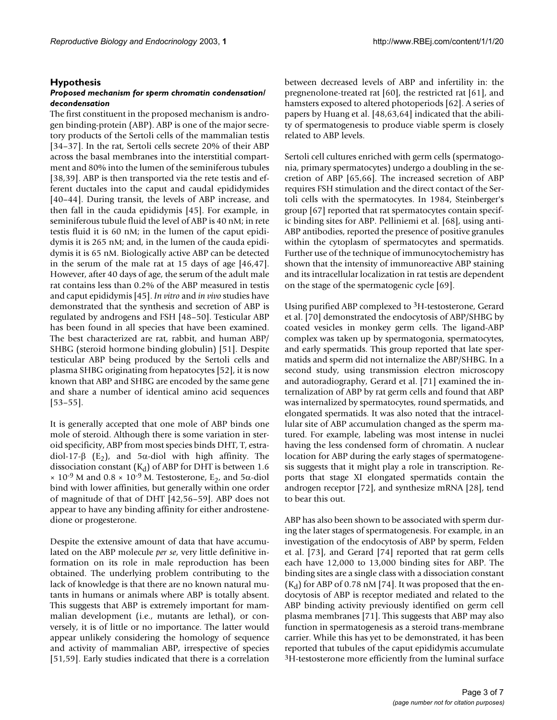#### **Hypothesis**

## *Proposed mechanism for sperm chromatin condensation/ decondensation*

The first constituent in the proposed mechanism is androgen binding-protein (ABP). ABP is one of the major secretory products of the Sertoli cells of the mammalian testis [34–37]. In the rat, Sertoli cells secrete 20% of their ABP across the basal membranes into the interstitial compartment and 80% into the lumen of the seminiferous tubules [38,39]. ABP is then transported via the rete testis and efferent ductales into the caput and caudal epididymides [40–44]. During transit, the levels of ABP increase, and then fall in the cauda epididymis [45]. For example, in seminiferous tubule fluid the level of ABP is 40 nM; in rete testis fluid it is 60 nM; in the lumen of the caput epididymis it is 265 nM; and, in the lumen of the cauda epididymis it is 65 nM. Biologically active ABP can be detected in the serum of the male rat at 15 days of age [46,47]. However, after 40 days of age, the serum of the adult male rat contains less than 0.2% of the ABP measured in testis and caput epididymis [45]. *In vitro* and *in vivo* studies have demonstrated that the synthesis and secretion of ABP is regulated by androgens and FSH [48–50]. Testicular ABP has been found in all species that have been examined. The best characterized are rat, rabbit, and human ABP/ SHBG (steroid hormone binding globulin) [51]. Despite testicular ABP being produced by the Sertoli cells and plasma SHBG originating from hepatocytes [52], it is now known that ABP and SHBG are encoded by the same gene and share a number of identical amino acid sequences [53–55].

It is generally accepted that one mole of ABP binds one mole of steroid. Although there is some variation in steroid specificity, ABP from most species binds DHT, T, estradiol-17- $\beta$  (E<sub>2</sub>), and 5 $\alpha$ -diol with high affinity. The dissociation constant  $(K_d)$  of ABP for DHT is between 1.6  $\times$  10<sup>-9</sup> M and 0.8  $\times$  10<sup>-9</sup> M. Testosterone, E<sub>2</sub>, and 5α-diol bind with lower affinities, but generally within one order of magnitude of that of DHT [42,56–59]. ABP does not appear to have any binding affinity for either androstenedione or progesterone.

Despite the extensive amount of data that have accumulated on the ABP molecule *per se*, very little definitive information on its role in male reproduction has been obtained. The underlying problem contributing to the lack of knowledge is that there are no known natural mutants in humans or animals where ABP is totally absent. This suggests that ABP is extremely important for mammalian development (i.e., mutants are lethal), or conversely, it is of little or no importance. The latter would appear unlikely considering the homology of sequence and activity of mammalian ABP, irrespective of species [51,59]. Early studies indicated that there is a correlation

between decreased levels of ABP and infertility in: the pregnenolone-treated rat [60], the restricted rat [61], and hamsters exposed to altered photoperiods [62]. A series of papers by Huang et al. [48,63,64] indicated that the ability of spermatogenesis to produce viable sperm is closely related to ABP levels.

Sertoli cell cultures enriched with germ cells (spermatogonia, primary spermatocytes) undergo a doubling in the secretion of ABP [65,66]. The increased secretion of ABP requires FSH stimulation and the direct contact of the Sertoli cells with the spermatocytes. In 1984, Steinberger's group [67] reported that rat spermatocytes contain specific binding sites for ABP. Pelliniemi et al. [68], using anti-ABP antibodies, reported the presence of positive granules within the cytoplasm of spermatocytes and spermatids. Further use of the technique of immunocytochemistry has shown that the intensity of immunoreactive ABP staining and its intracellular localization in rat testis are dependent on the stage of the spermatogenic cycle [69].

Using purified ABP complexed to 3H-testosterone, Gerard et al. [70] demonstrated the endocytosis of ABP/SHBG by coated vesicles in monkey germ cells. The ligand-ABP complex was taken up by spermatogonia, spermatocytes, and early spermatids. This group reported that late spermatids and sperm did not internalize the ABP/SHBG. In a second study, using transmission electron microscopy and autoradiography, Gerard et al. [71] examined the internalization of ABP by rat germ cells and found that ABP was internalized by spermatocytes, round spermatids, and elongated spermatids. It was also noted that the intracellular site of ABP accumulation changed as the sperm matured. For example, labeling was most intense in nuclei having the less condensed form of chromatin. A nuclear location for ABP during the early stages of spermatogenesis suggests that it might play a role in transcription. Reports that stage XI elongated spermatids contain the androgen receptor [72], and synthesize mRNA [28], tend to bear this out.

ABP has also been shown to be associated with sperm during the later stages of spermatogenesis. For example, in an investigation of the endocytosis of ABP by sperm, Felden et al. [73], and Gerard [74] reported that rat germ cells each have 12,000 to 13,000 binding sites for ABP. The binding sites are a single class with a dissociation constant  $(K_d)$  for ABP of 0.78 nM [74]. It was proposed that the endocytosis of ABP is receptor mediated and related to the ABP binding activity previously identified on germ cell plasma membranes [71]. This suggests that ABP may also function in spermatogenesis as a steroid trans-membrane carrier. While this has yet to be demonstrated, it has been reported that tubules of the caput epididymis accumulate 3H-testosterone more efficiently from the luminal surface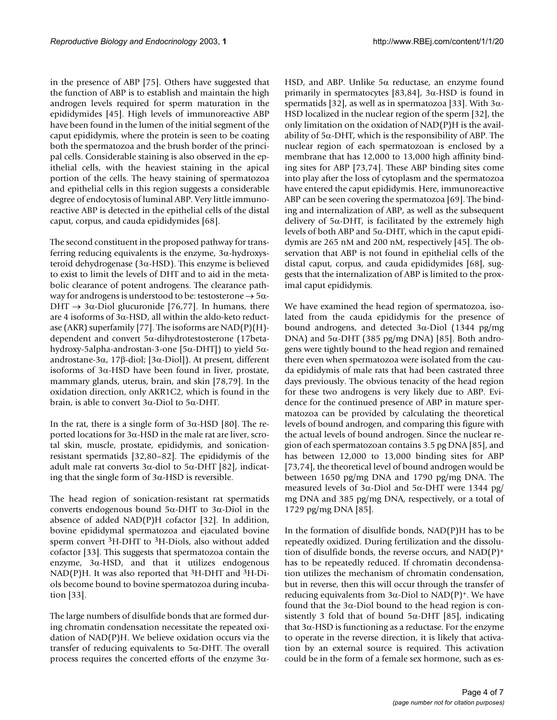in the presence of ABP [75]. Others have suggested that the function of ABP is to establish and maintain the high androgen levels required for sperm maturation in the epididymides [45]. High levels of immunoreactive ABP have been found in the lumen of the initial segment of the caput epididymis, where the protein is seen to be coating both the spermatozoa and the brush border of the principal cells. Considerable staining is also observed in the epithelial cells, with the heaviest staining in the apical portion of the cells. The heavy staining of spermatozoa and epithelial cells in this region suggests a considerable degree of endocytosis of luminal ABP. Very little immunoreactive ABP is detected in the epithelial cells of the distal caput, corpus, and cauda epididymides [68].

The second constituent in the proposed pathway for transferring reducing equivalents is the enzyme,  $3\alpha$ -hydroxysteroid dehydrogenase (3α-HSD). This enzyme is believed to exist to limit the levels of DHT and to aid in the metabolic clearance of potent androgens. The clearance pathway for androgens is understood to be: testosterone  $\rightarrow$  5 $\alpha$ -DHT  $\rightarrow$  3 $\alpha$ -Diol glucuronide [76,77]. In humans, there are 4 isoforms of  $3\alpha$ -HSD, all within the aldo-keto reductase (AKR) superfamily [77]. The isoforms are  $NAD(P)(H)$ dependent and convert 5α-dihydrotestosterone (17betahydroxy-5alpha-androstan-3-one [5α-DHT]) to yield 5αandrostane-3α, 17β-diol; [3α-Diol]). At present, different isoforms of 3α-HSD have been found in liver, prostate, mammary glands, uterus, brain, and skin [78,79]. In the oxidation direction, only AKR1C2, which is found in the brain, is able to convert 3α-Diol to 5α-DHT.

In the rat, there is a single form of  $3α$ -HSD [80]. The reported locations for 3α-HSD in the male rat are liver, scrotal skin, muscle, prostate, epididymis, and sonicationresistant spermatids [32,80–82]. The epididymis of the adult male rat converts  $3\alpha$ -diol to  $5\alpha$ -DHT [82], indicating that the single form of 3α-HSD is reversible.

The head region of sonication-resistant rat spermatids converts endogenous bound 5α-DHT to 3α-Diol in the absence of added NAD(P)H cofactor [32]. In addition, bovine epididymal spermatozoa and ejaculated bovine sperm convert <sup>3</sup>H-DHT to <sup>3</sup>H-Diols, also without added cofactor [33]. This suggests that spermatozoa contain the enzyme,  $3\alpha$ -HSD, and that it utilizes endogenous NAD(P)H. It was also reported that  ${}^{3}$ H-DHT and  ${}^{3}$ H-Diols become bound to bovine spermatozoa during incubation [33].

The large numbers of disulfide bonds that are formed during chromatin condensation necessitate the repeated oxidation of NAD(P)H. We believe oxidation occurs via the transfer of reducing equivalents to 5α-DHT. The overall process requires the concerted efforts of the enzyme 3αHSD, and ABP. Unlike 5α reductase, an enzyme found primarily in spermatocytes  $[83,84]$ , 3 $\alpha$ -HSD is found in spermatids [32], as well as in spermatozoa [33]. With  $3\alpha$ -HSD localized in the nuclear region of the sperm [32], the only limitation on the oxidation of NAD(P)H is the availability of  $5\alpha$ -DHT, which is the responsibility of ABP. The nuclear region of each spermatozoan is enclosed by a membrane that has 12,000 to 13,000 high affinity binding sites for ABP [73,74]. These ABP binding sites come into play after the loss of cytoplasm and the spermatozoa have entered the caput epididymis. Here, immunoreactive ABP can be seen covering the spermatozoa [69]. The binding and internalization of ABP, as well as the subsequent delivery of  $5\alpha$ -DHT, is facilitated by the extremely high levels of both ABP and 5α-DHT, which in the caput epididymis are 265 nM and 200 nM, respectively [45]. The observation that ABP is not found in epithelial cells of the distal caput, corpus, and cauda epididymides [68], suggests that the internalization of ABP is limited to the proximal caput epididymis.

We have examined the head region of spermatozoa, isolated from the cauda epididymis for the presence of bound androgens, and detected  $3α$ -Diol (1344 pg/mg) DNA) and 5α-DHT (385 pg/mg DNA) [85]. Both androgens were tightly bound to the head region and remained there even when spermatozoa were isolated from the cauda epididymis of male rats that had been castrated three days previously. The obvious tenacity of the head region for these two androgens is very likely due to ABP. Evidence for the continued presence of ABP in mature spermatozoa can be provided by calculating the theoretical levels of bound androgen, and comparing this figure with the actual levels of bound androgen. Since the nuclear region of each spermatozoan contains 3.5 pg DNA [85], and has between 12,000 to 13,000 binding sites for ABP [73,74], the theoretical level of bound androgen would be between 1650 pg/mg DNA and 1790 pg/mg DNA. The measured levels of 3 $\alpha$ -Diol and 5 $\alpha$ -DHT were 1344 pg/ mg DNA and 385 pg/mg DNA, respectively, or a total of 1729 pg/mg DNA [85].

In the formation of disulfide bonds, NAD(P)H has to be repeatedly oxidized. During fertilization and the dissolution of disulfide bonds, the reverse occurs, and  $NAD(P)^+$ has to be repeatedly reduced. If chromatin decondensation utilizes the mechanism of chromatin condensation, but in reverse, then this will occur through the transfer of reducing equivalents from 3 $α$ -Diol to NAD(P)<sup>+</sup>. We have found that the  $3\alpha$ -Diol bound to the head region is consistently 3 fold that of bound  $5\alpha$ -DHT [85], indicating that  $3α$ -HSD is functioning as a reductase. For the enzyme to operate in the reverse direction, it is likely that activation by an external source is required. This activation could be in the form of a female sex hormone, such as es-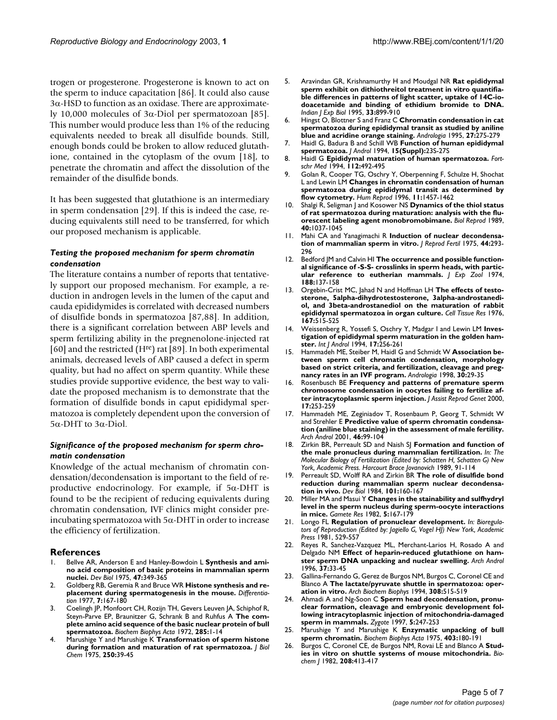trogen or progesterone. Progesterone is known to act on the sperm to induce capacitation [86]. It could also cause 3α-HSD to function as an oxidase. There are approximately 10,000 molecules of 3α-Diol per spermatozoan [85]. This number would produce less than 1% of the reducing equivalents needed to break all disulfide bounds. Still, enough bonds could be broken to allow reduced glutathione, contained in the cytoplasm of the ovum [18], to penetrate the chromatin and affect the dissolution of the remainder of the disulfide bonds.

It has been suggested that glutathione is an intermediary in sperm condensation [29]. If this is indeed the case, reducing equivalents still need to be transferred, for which our proposed mechanism is applicable.

# *Testing the proposed mechanism for sperm chromatin condensation*

The literature contains a number of reports that tentatively support our proposed mechanism. For example, a reduction in androgen levels in the lumen of the caput and cauda epididymides is correlated with decreased numbers of disulfide bonds in spermatozoa [87,88]. In addition, there is a significant correlation between ABP levels and sperm fertilizing ability in the pregnenolone-injected rat [60] and the restricted (H<sup>re</sup>) rat [\[89](#page-6-0)]. In both experimental animals, decreased levels of ABP caused a defect in sperm quality, but had no affect on sperm quantity. While these studies provide supportive evidence, the best way to validate the proposed mechanism is to demonstrate that the formation of disulfide bonds in caput epididymal spermatozoa is completely dependent upon the conversion of 5α-DHT to 3α-Diol.

# *Significance of the proposed mechanism for sperm chromatin condensation*

Knowledge of the actual mechanism of chromatin condensation/decondensation is important to the field of reproductive endocrinology. For example, if  $5\alpha$ -DHT is found to be the recipient of reducing equivalents during chromatin condensation, IVF clinics might consider preincubating spermatozoa with 5α-DHT in order to increase the efficiency of fertilization.

### **References**

- 1. Bellve AR, Anderson E and Hanley-Bowdoin L **[Synthesis and ami](http://www.ncbi.nlm.nih.gov/entrez/query.fcgi?cmd=Retrieve&db=PubMed&dopt=Abstract&list_uids=1204939)[no acid composition of basic proteins in mammalian sperm](http://www.ncbi.nlm.nih.gov/entrez/query.fcgi?cmd=Retrieve&db=PubMed&dopt=Abstract&list_uids=1204939) [nuclei.](http://www.ncbi.nlm.nih.gov/entrez/query.fcgi?cmd=Retrieve&db=PubMed&dopt=Abstract&list_uids=1204939)** *Dev Biol* 1975, **47:**349-365
- 2. Goldberg RB, Geremia R and Bruce WR **[Histone synthesis and re](http://www.ncbi.nlm.nih.gov/entrez/query.fcgi?cmd=Retrieve&db=PubMed&dopt=Abstract&list_uids=323095)[placement during spermatogenesis in the mouse.](http://www.ncbi.nlm.nih.gov/entrez/query.fcgi?cmd=Retrieve&db=PubMed&dopt=Abstract&list_uids=323095)** *Differentiation* 1977, **7:**167-180
- 3. Coelingh JP, Monfoort CH, Rozijn TH, Gevers Leuven JA, Schiphof R, Steyn-Parve EP, Braunitzer G, Schrank B and Ruhfus A **[The com](http://www.ncbi.nlm.nih.gov/entrez/query.fcgi?cmd=Retrieve&db=PubMed&dopt=Abstract&list_uids=10.1016/0005-2795(72)90174-2)[plete amino acid sequence of the basic nuclear protein of bull](http://www.ncbi.nlm.nih.gov/entrez/query.fcgi?cmd=Retrieve&db=PubMed&dopt=Abstract&list_uids=10.1016/0005-2795(72)90174-2) [spermatozoa.](http://www.ncbi.nlm.nih.gov/entrez/query.fcgi?cmd=Retrieve&db=PubMed&dopt=Abstract&list_uids=10.1016/0005-2795(72)90174-2)** *Biochem Biophys Acta* 1972, **285:**1-14
- 4. Marushige Y and Marushige K **[Transformation of sperm histone](http://www.ncbi.nlm.nih.gov/entrez/query.fcgi?cmd=Retrieve&db=PubMed&dopt=Abstract&list_uids=1141210) [during formation and maturation of rat spermatozoa.](http://www.ncbi.nlm.nih.gov/entrez/query.fcgi?cmd=Retrieve&db=PubMed&dopt=Abstract&list_uids=1141210)** *J Biol Chem* 1975, **250:**39-45
- 5. Aravindan GR, Krishnamurthy H and Moudgal NR **[Rat epididymal](http://www.ncbi.nlm.nih.gov/entrez/query.fcgi?cmd=Retrieve&db=PubMed&dopt=Abstract&list_uids=8714072) sperm exhibit on dithiothreitol treatment in vitro quantifia[ble differences in patterns of light scatter, uptake of 14C-io](http://www.ncbi.nlm.nih.gov/entrez/query.fcgi?cmd=Retrieve&db=PubMed&dopt=Abstract&list_uids=8714072)doacetamide and binding of ethidium bromide to DNA.** *Indian J Exp Biol* 1995, **33:**899-910
- 6. Hingst O, Blottner S and Franz C **[Chromatin condensation in cat](http://www.ncbi.nlm.nih.gov/entrez/query.fcgi?cmd=Retrieve&db=PubMed&dopt=Abstract&list_uids=8659706) [spermatozoa during epididymal transit as studied by aniline](http://www.ncbi.nlm.nih.gov/entrez/query.fcgi?cmd=Retrieve&db=PubMed&dopt=Abstract&list_uids=8659706) [blue and acridine orange staining.](http://www.ncbi.nlm.nih.gov/entrez/query.fcgi?cmd=Retrieve&db=PubMed&dopt=Abstract&list_uids=8659706)** *Andrologia* 1995, **27:**275-279
- 7. Haidl G, Badura B and Schill WB **[Function of human epididymal](http://www.ncbi.nlm.nih.gov/entrez/query.fcgi?cmd=Retrieve&db=PubMed&dopt=Abstract&list_uids=7721672) [spermatozoa.](http://www.ncbi.nlm.nih.gov/entrez/query.fcgi?cmd=Retrieve&db=PubMed&dopt=Abstract&list_uids=7721672)** *J Androl* 1994, **15(Suppl):**23S-27S
- 8. Haidl G **[Epididymal maturation of human spermatozoa.](http://www.ncbi.nlm.nih.gov/entrez/query.fcgi?cmd=Retrieve&db=PubMed&dopt=Abstract&list_uids=7843675)** *Fortschr Med* 1994, **112:**492-495
- 9. Golan R, Cooper TG, Oschry Y, Oberpenning F, Schulze H, Shochat L and Lewin LM **[Changes in chromatin condensation of human](http://www.ncbi.nlm.nih.gov/entrez/query.fcgi?cmd=Retrieve&db=PubMed&dopt=Abstract&list_uids=8671486) [spermatozoa during epididymal transit as determined by](http://www.ncbi.nlm.nih.gov/entrez/query.fcgi?cmd=Retrieve&db=PubMed&dopt=Abstract&list_uids=8671486) [flow cytometry.](http://www.ncbi.nlm.nih.gov/entrez/query.fcgi?cmd=Retrieve&db=PubMed&dopt=Abstract&list_uids=8671486)** *Hum Reprod* 1996, **11:**1457-1462
- 10. Shalgi R, Seligman J and Kosower NS **[Dynamics of the thiol status](http://www.ncbi.nlm.nih.gov/entrez/query.fcgi?cmd=Retrieve&db=PubMed&dopt=Abstract&list_uids=2765609) [of rat spermatozoa during maturation: analysis with the flu](http://www.ncbi.nlm.nih.gov/entrez/query.fcgi?cmd=Retrieve&db=PubMed&dopt=Abstract&list_uids=2765609)[orescent labeling agent monobromobimane.](http://www.ncbi.nlm.nih.gov/entrez/query.fcgi?cmd=Retrieve&db=PubMed&dopt=Abstract&list_uids=2765609)** *Biol Reprod* 1989, **40:**1037-1045
- 11. Mahi CA and Yanagimachi R **[Induction of nuclear decondensa](http://www.ncbi.nlm.nih.gov/entrez/query.fcgi?cmd=Retrieve&db=PubMed&dopt=Abstract&list_uids=1171981)[tion of mammalian sperm in vitro.](http://www.ncbi.nlm.nih.gov/entrez/query.fcgi?cmd=Retrieve&db=PubMed&dopt=Abstract&list_uids=1171981)** *J Reprod Fertil* 1975, **44:**293- 296
- 12. Bedford JM and Calvin HI **[The occurrence and possible function](http://www.ncbi.nlm.nih.gov/entrez/query.fcgi?cmd=Retrieve&db=PubMed&dopt=Abstract&list_uids=4207651)[al significance of -S-S- crosslinks in sperm heads, with partic](http://www.ncbi.nlm.nih.gov/entrez/query.fcgi?cmd=Retrieve&db=PubMed&dopt=Abstract&list_uids=4207651)[ular reference to eutherian mammals.](http://www.ncbi.nlm.nih.gov/entrez/query.fcgi?cmd=Retrieve&db=PubMed&dopt=Abstract&list_uids=4207651)** *J Exp Zool* 1974, **188:**137-158
- 13. Orgebin-Crist MC, Jahad N and Hoffman LH **[The effects of testo](http://www.ncbi.nlm.nih.gov/entrez/query.fcgi?cmd=Retrieve&db=PubMed&dopt=Abstract&list_uids=1268923)[sterone, 5alpha-dihydrotestosterone, 3alpha-androstanedi](http://www.ncbi.nlm.nih.gov/entrez/query.fcgi?cmd=Retrieve&db=PubMed&dopt=Abstract&list_uids=1268923)ol, and 3beta-androstanediol on the maturation of rabbit [epididymal spermatozoa in organ culture.](http://www.ncbi.nlm.nih.gov/entrez/query.fcgi?cmd=Retrieve&db=PubMed&dopt=Abstract&list_uids=1268923)** *Cell Tissue Res* 1976, **167:**515-525
- 14. Weissenberg R, Yossefi S, Oschry Y, Madgar I and Lewin LM **[Inves](http://www.ncbi.nlm.nih.gov/entrez/query.fcgi?cmd=Retrieve&db=PubMed&dopt=Abstract&list_uids=7698851)[tigation of epididymal sperm maturation in the golden ham](http://www.ncbi.nlm.nih.gov/entrez/query.fcgi?cmd=Retrieve&db=PubMed&dopt=Abstract&list_uids=7698851)[ster.](http://www.ncbi.nlm.nih.gov/entrez/query.fcgi?cmd=Retrieve&db=PubMed&dopt=Abstract&list_uids=7698851)** *Int J Androl* 1994, **17:**256-261
- 15. Hammadeh ME, Steiber M, Haidl G and Schmidt W **[Association be](http://www.ncbi.nlm.nih.gov/entrez/query.fcgi?cmd=Retrieve&db=PubMed&dopt=Abstract&list_uids=9567167)[tween sperm cell chromatin condensation, morphology](http://www.ncbi.nlm.nih.gov/entrez/query.fcgi?cmd=Retrieve&db=PubMed&dopt=Abstract&list_uids=9567167) based on strict criteria, and fertilization, cleavage and preg[nancy rates in an IVF program.](http://www.ncbi.nlm.nih.gov/entrez/query.fcgi?cmd=Retrieve&db=PubMed&dopt=Abstract&list_uids=9567167)** *Andrologia* 1998, **30:**29-35
- 16. Rosenbusch BE **[Frequency and patterns of premature sperm](http://www.ncbi.nlm.nih.gov/entrez/query.fcgi?cmd=Retrieve&db=PubMed&dopt=Abstract&list_uids=10976411) [chromosome condensation in oocytes failing to fertilize af](http://www.ncbi.nlm.nih.gov/entrez/query.fcgi?cmd=Retrieve&db=PubMed&dopt=Abstract&list_uids=10976411)[ter intracytoplasmic sperm injection.](http://www.ncbi.nlm.nih.gov/entrez/query.fcgi?cmd=Retrieve&db=PubMed&dopt=Abstract&list_uids=10976411)** *J Assist Reprod Genet* 2000, **17:**253-259
- 17. Hammadeh ME, Zeginiadov T, Rosenbaum P, Georg T, Schmidt W and Strehler E **[Predictive value of sperm chromatin condensa](http://www.ncbi.nlm.nih.gov/entrez/query.fcgi?cmd=Retrieve&db=PubMed&dopt=Abstract&list_uids=11297072)[tion \(aniline blue staining\) in the assessment of male fertility.](http://www.ncbi.nlm.nih.gov/entrez/query.fcgi?cmd=Retrieve&db=PubMed&dopt=Abstract&list_uids=11297072)** *Arch Androl* 2001, **46:**99-104
- 18. Zirkin BR, Perreault SD and Naish SJ **Formation and function of the male pronucleus during mammalian fertilization.** *In: The Molecular Biology of Fertilization (Edited by: Schatten H, Schatten G) New York, Academic Press. Harcourt Brace Jovanovich* 1989, 91-114
- 19. Perreault SD, Wolff RA and Zirkin BR **[The role of disulfide bond](http://www.ncbi.nlm.nih.gov/entrez/query.fcgi?cmd=Retrieve&db=PubMed&dopt=Abstract&list_uids=6692970) [reduction during mammalian sperm nuclear decondensa](http://www.ncbi.nlm.nih.gov/entrez/query.fcgi?cmd=Retrieve&db=PubMed&dopt=Abstract&list_uids=6692970)[tion in vivo.](http://www.ncbi.nlm.nih.gov/entrez/query.fcgi?cmd=Retrieve&db=PubMed&dopt=Abstract&list_uids=6692970)** *Dev Biol* 1984, **101:**160-167
- 20. Miller MA and Masui Y **Changes in the stainability and sulfhydryl level in the sperm nucleus during sperm-oocyte interactions in mice.** *Gamete Res* 1982, **5:**167-179
- 21. Longo FL **Regulation of pronuclear development.** *In: Bioregulators of Reproduction (Edited by: Jagiello G, Vogel HJ) New York, Academic Press* 1981, 529-557
- 22. Reyes R, Sanchez-Vazquez ML, Merchant-Larios H, Rosado A and Delgado NM **[Effect of heparin-reduced glutathione on ham](http://www.ncbi.nlm.nih.gov/entrez/query.fcgi?cmd=Retrieve&db=PubMed&dopt=Abstract&list_uids=8827346)[ster sperm DNA unpacking and nuclear swelling.](http://www.ncbi.nlm.nih.gov/entrez/query.fcgi?cmd=Retrieve&db=PubMed&dopt=Abstract&list_uids=8827346)** *Arch Androl* 1996, **37:**33-45
- 23. Gallina-Fernando G, Gerez de Burgos NM, Burgos C, Coronel CE and Blanco A **[The lactate/pyruvate shuttle in spermatozoa: oper](http://www.ncbi.nlm.nih.gov/entrez/query.fcgi?cmd=Retrieve&db=PubMed&dopt=Abstract&list_uids=8109982)[ation in vitro.](http://www.ncbi.nlm.nih.gov/entrez/query.fcgi?cmd=Retrieve&db=PubMed&dopt=Abstract&list_uids=8109982)** *Arch Biochem Biophys* 1994, **308:**515-519
- 24. Ahmadi A and Ng-Soon C **[Sperm head decondensation, pronu](http://www.ncbi.nlm.nih.gov/entrez/query.fcgi?cmd=Retrieve&db=PubMed&dopt=Abstract&list_uids=9460909)[clear formation, cleavage and embryonic development fol](http://www.ncbi.nlm.nih.gov/entrez/query.fcgi?cmd=Retrieve&db=PubMed&dopt=Abstract&list_uids=9460909)lowing intracytoplasmic injection of mitochondria-damaged [sperm in mammals.](http://www.ncbi.nlm.nih.gov/entrez/query.fcgi?cmd=Retrieve&db=PubMed&dopt=Abstract&list_uids=9460909)** *Zygote* 1997, **5:**247-253
- 25. Marushige Y and Marushige K **[Enzymatic unpacking of bull](http://www.ncbi.nlm.nih.gov/entrez/query.fcgi?cmd=Retrieve&db=PubMed&dopt=Abstract&list_uids=10.1016/0005-2744(75)90020-0) [sperm chromatin.](http://www.ncbi.nlm.nih.gov/entrez/query.fcgi?cmd=Retrieve&db=PubMed&dopt=Abstract&list_uids=10.1016/0005-2744(75)90020-0)** *Biochem Biophys Acta* 1975, **403:**180-191
- 26. Burgos C, Coronel CE, de Burgos NM, Rovai LE and Blanco A **[Stud](http://www.ncbi.nlm.nih.gov/entrez/query.fcgi?cmd=Retrieve&db=PubMed&dopt=Abstract&list_uids=7159409)[ies in vitro on shuttle systems of mouse mitochondria.](http://www.ncbi.nlm.nih.gov/entrez/query.fcgi?cmd=Retrieve&db=PubMed&dopt=Abstract&list_uids=7159409)** *Biochem J* 1982, **208:**413-417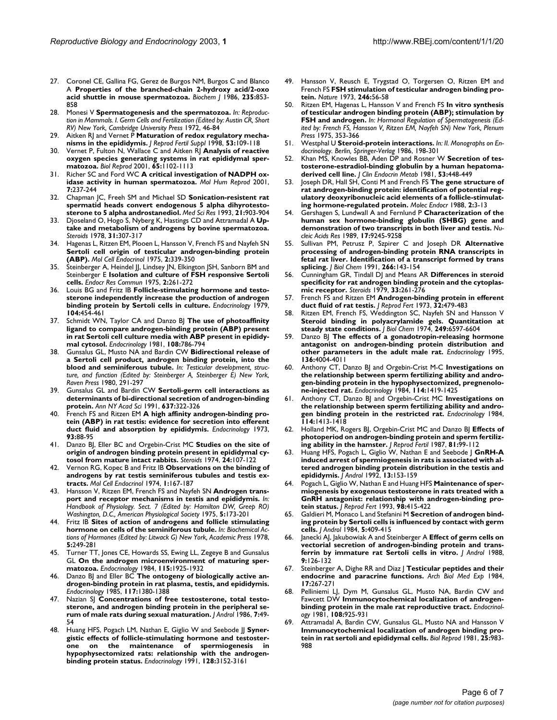- 27. Coronel CE, Gallina FG, Gerez de Burgos NM, Burgos C and Blanco A **[Properties of the branched-chain 2-hydroxy acid/2-oxo](http://www.ncbi.nlm.nih.gov/entrez/query.fcgi?cmd=Retrieve&db=PubMed&dopt=Abstract&list_uids=2875710) [acid shuttle in mouse spermatozoa.](http://www.ncbi.nlm.nih.gov/entrez/query.fcgi?cmd=Retrieve&db=PubMed&dopt=Abstract&list_uids=2875710)** *Biochem J* 1986, **235:**853- 858
- 28. Monesi V **Spermatogenesis and the spermatozoa.** *In: Reproduction in Mammals. I. Germ Cells and Fertilization (Edited by: Austin CR, Short RV) New York, Cambridge University Press* 1972, 46-84
- 29. Aitken RJ and Vernet P **[Maturation of redox regulatory mecha](http://www.ncbi.nlm.nih.gov/entrez/query.fcgi?cmd=Retrieve&db=PubMed&dopt=Abstract&list_uids=10645271)[nisms in the epididymis.](http://www.ncbi.nlm.nih.gov/entrez/query.fcgi?cmd=Retrieve&db=PubMed&dopt=Abstract&list_uids=10645271)** *J Reprod Fertil Suppl* 1998, **53:**109-118
- 30. Vernet P, Fulton N, Wallace C and Aitken RJ **[Analysis of reactive](http://www.ncbi.nlm.nih.gov/entrez/query.fcgi?cmd=Retrieve&db=PubMed&dopt=Abstract&list_uids=11566731) [oxygen species generating systems in rat epididymal sper](http://www.ncbi.nlm.nih.gov/entrez/query.fcgi?cmd=Retrieve&db=PubMed&dopt=Abstract&list_uids=11566731)[matozoa.](http://www.ncbi.nlm.nih.gov/entrez/query.fcgi?cmd=Retrieve&db=PubMed&dopt=Abstract&list_uids=11566731)** *Biol Reprod* 2001, **65:**1102-1113
- 31. Richer SC and Ford WC **[A critical investigation of NADPH ox](http://www.ncbi.nlm.nih.gov/entrez/query.fcgi?cmd=Retrieve&db=PubMed&dopt=Abstract&list_uids=11228243)[idase activity in human spermatozoa.](http://www.ncbi.nlm.nih.gov/entrez/query.fcgi?cmd=Retrieve&db=PubMed&dopt=Abstract&list_uids=11228243)** *Mol Hum Reprod* 2001, **7:**237-244
- 32. Chapman JC, Freeh SM and Michael SD **Sonication-resistent rat spermatid heads convert endogenous 5 alpha dihyrotestosterone to 5 alpha androstanediol.** *Med Sci Res* 1993, **21:**903-904
- 33. Djoseland O, Hogo S, Nyberg K, Hastings CD and Attramadal A **[Up](http://www.ncbi.nlm.nih.gov/entrez/query.fcgi?cmd=Retrieve&db=PubMed&dopt=Abstract&list_uids=663970)[take and metabolism of androgens by bovine spermatozoa.](http://www.ncbi.nlm.nih.gov/entrez/query.fcgi?cmd=Retrieve&db=PubMed&dopt=Abstract&list_uids=663970)** *Steroids* 1978, **31:**307-317
- 34. Hagenas L, Ritzen EM, Plooen L, Hansson V, French FS and Nayfeh SN **[Sertoli cell origin of testicular androgen-binding protein](http://www.ncbi.nlm.nih.gov/entrez/query.fcgi?cmd=Retrieve&db=PubMed&dopt=Abstract&list_uids=1126559) [\(ABP\).](http://www.ncbi.nlm.nih.gov/entrez/query.fcgi?cmd=Retrieve&db=PubMed&dopt=Abstract&list_uids=1126559)** *Mol Cell Endocrinol* 1975, **2:**339-350
- 35. Steinberger A, Heindel JJ, Lindsey JN, Elkington JSH, Sanborn BM and Steinberger E **[Isolation and culture of FSH responsive Sertoli](http://www.ncbi.nlm.nih.gov/entrez/query.fcgi?cmd=Retrieve&db=PubMed&dopt=Abstract&list_uids=170059) [cells.](http://www.ncbi.nlm.nih.gov/entrez/query.fcgi?cmd=Retrieve&db=PubMed&dopt=Abstract&list_uids=170059)** *Endocr Res Commun* 1975, **2:**261-272
- 36. Louis BG and Fritz IB **[Follicle-stimulating hormone and testo](http://www.ncbi.nlm.nih.gov/entrez/query.fcgi?cmd=Retrieve&db=PubMed&dopt=Abstract&list_uids=571796)[sterone independently increase the production of androgen](http://www.ncbi.nlm.nih.gov/entrez/query.fcgi?cmd=Retrieve&db=PubMed&dopt=Abstract&list_uids=571796) [binding protein by Sertoli cells in culture.](http://www.ncbi.nlm.nih.gov/entrez/query.fcgi?cmd=Retrieve&db=PubMed&dopt=Abstract&list_uids=571796)** *Endocrinology* 1979, **104:**454-461
- 37. Schmidt WN, Taylor CA and Danzo BJ **[The use of photoaffinity](http://www.ncbi.nlm.nih.gov/entrez/query.fcgi?cmd=Retrieve&db=PubMed&dopt=Abstract&list_uids=7193119) [ligand to compare androgen-binding protein \(ABP\) present](http://www.ncbi.nlm.nih.gov/entrez/query.fcgi?cmd=Retrieve&db=PubMed&dopt=Abstract&list_uids=7193119) in rat Sertoli cell culture media with ABP present in epididy[mal cytosol.](http://www.ncbi.nlm.nih.gov/entrez/query.fcgi?cmd=Retrieve&db=PubMed&dopt=Abstract&list_uids=7193119)** *Endocrinology* 1981, **108:**786-794
- 38. Gunsalus GL, Musto NA and Bardin CW **Bidirectional release of a Sertoli cell product, androgen binding protein, into the blood and seminiferous tubule.** *In: Testicular development, structure, and function (Edited by: Steinberger A, Steinberger E) New York, Raven Press* 1980, 291-297
- 39. Gunsalus GL and Bardin CW **[Sertoli-germ cell interactions as](http://www.ncbi.nlm.nih.gov/entrez/query.fcgi?cmd=Retrieve&db=PubMed&dopt=Abstract&list_uids=1785778) [determinants of bi-directional secretion of androgen-binding](http://www.ncbi.nlm.nih.gov/entrez/query.fcgi?cmd=Retrieve&db=PubMed&dopt=Abstract&list_uids=1785778) [protein.](http://www.ncbi.nlm.nih.gov/entrez/query.fcgi?cmd=Retrieve&db=PubMed&dopt=Abstract&list_uids=1785778)** *Ann NY Acad Sci* 1991, **637:**322-326
- 40. French FS and Ritzen EM **[A high affinity androgen-binding pro](http://www.ncbi.nlm.nih.gov/entrez/query.fcgi?cmd=Retrieve&db=PubMed&dopt=Abstract&list_uids=4712258)[tein \(ABP\) in rat testis: evidence for secretion into efferent](http://www.ncbi.nlm.nih.gov/entrez/query.fcgi?cmd=Retrieve&db=PubMed&dopt=Abstract&list_uids=4712258) [duct fluid and absorption by epididymis.](http://www.ncbi.nlm.nih.gov/entrez/query.fcgi?cmd=Retrieve&db=PubMed&dopt=Abstract&list_uids=4712258)** *Endocrinology* 1973, **93:**88-95
- 41. Danzo BJ, Eller BC and Orgebin-Crist MC **[Studies on the site of](http://www.ncbi.nlm.nih.gov/entrez/query.fcgi?cmd=Retrieve&db=PubMed&dopt=Abstract&list_uids=4367332) [origin of androgen binding protein present in epididymal cy](http://www.ncbi.nlm.nih.gov/entrez/query.fcgi?cmd=Retrieve&db=PubMed&dopt=Abstract&list_uids=4367332)[tosol from mature intact rabbits.](http://www.ncbi.nlm.nih.gov/entrez/query.fcgi?cmd=Retrieve&db=PubMed&dopt=Abstract&list_uids=4367332)** *Steroids* 1974, **24:**107-122
- 42. Vernon RG, Kopec B and Fritz IB **[Observations on the binding of](http://www.ncbi.nlm.nih.gov/entrez/query.fcgi?cmd=Retrieve&db=PubMed&dopt=Abstract&list_uids=10.1016/0303-7207(74)90028-8) [androgens by rat testis seminiferous tubules and testis ex](http://www.ncbi.nlm.nih.gov/entrez/query.fcgi?cmd=Retrieve&db=PubMed&dopt=Abstract&list_uids=10.1016/0303-7207(74)90028-8)[tracts.](http://www.ncbi.nlm.nih.gov/entrez/query.fcgi?cmd=Retrieve&db=PubMed&dopt=Abstract&list_uids=10.1016/0303-7207(74)90028-8)** *Mol Cell Endocrinol* 1974, **1:**167-187
- 43. Hansson V, Ritzen EM, French FS and Nayfeh SN **Androgen transport and receptor mechanisms in testis and epididymis.** *In: Handbook of Physiology. Sect. 7 (Edited by: Hamilton DW, Greep RO) Washington, D.C., American Physiological Society* 1975, **5:**173-201
- 44. Fritz IB **Sites of action of androgens and follicle stimulating hormone on cells of the seminiferous tubule.** *In: Biochemical Actions of Hormones (Edited by: Litwack G) New York, Academic Press* 1978, **5:**249-281
- 45. Turner TT, Jones CE, Howards SS, Ewing LL, Zegeye B and Gunsalus GL **[On the androgen microenvironment of maturing sper](http://www.ncbi.nlm.nih.gov/entrez/query.fcgi?cmd=Retrieve&db=PubMed&dopt=Abstract&list_uids=6541571)[matozoa.](http://www.ncbi.nlm.nih.gov/entrez/query.fcgi?cmd=Retrieve&db=PubMed&dopt=Abstract&list_uids=6541571)** *Endocrinology* 1984, **115:**1925-1932
- 46. Danzo BJ and Eller BC **[The ontogeny of biologically active an](http://www.ncbi.nlm.nih.gov/entrez/query.fcgi?cmd=Retrieve&db=PubMed&dopt=Abstract&list_uids=4040848)[drogen-binding protein in rat plasma, testis, and epididymis.](http://www.ncbi.nlm.nih.gov/entrez/query.fcgi?cmd=Retrieve&db=PubMed&dopt=Abstract&list_uids=4040848)** *Endocrinology* 1985, **117:**1380-1388
- 47. Nazian SJ **[Concentrations of free testosterone, total testo](http://www.ncbi.nlm.nih.gov/entrez/query.fcgi?cmd=Retrieve&db=PubMed&dopt=Abstract&list_uids=3944019)[sterone, and androgen binding protein in the peripheral se](http://www.ncbi.nlm.nih.gov/entrez/query.fcgi?cmd=Retrieve&db=PubMed&dopt=Abstract&list_uids=3944019)[rum of male rats during sexual maturation.](http://www.ncbi.nlm.nih.gov/entrez/query.fcgi?cmd=Retrieve&db=PubMed&dopt=Abstract&list_uids=3944019)** *J Androl* 1986, **7:**49- 54
- 48. Huang HFS, Pogach LM, Nathan E, Giglio W and Seebode JJ **[Syner](http://www.ncbi.nlm.nih.gov/entrez/query.fcgi?cmd=Retrieve&db=PubMed&dopt=Abstract&list_uids=1903701)[gistic effects of follicle-stimulating hormone and testoster](http://www.ncbi.nlm.nih.gov/entrez/query.fcgi?cmd=Retrieve&db=PubMed&dopt=Abstract&list_uids=1903701)one on the maintenance of spermiogenesis in hypophysectomized rats: relationship with the androgen[binding protein status.](http://www.ncbi.nlm.nih.gov/entrez/query.fcgi?cmd=Retrieve&db=PubMed&dopt=Abstract&list_uids=1903701)** *Endocrinology* 1991, **128:**3152-3161
- 49. Hansson V, Reusch E, Trygstad O, Torgersen O, Ritzen EM and French FS **FSH stimulation of testicular androgen binding protein.** *Nature* 1973, **246:**56-58
- 50. Ritzen EM, Hagenas L, Hansson V and French FS **In vitro synthesis of testicular androgen binding protein (ABP); stimulation by FSH and androgen.** *In: Hormonal Regulation of Spermatogenesis (Edited by: French FS, Hansson V, Ritzen EM, Nayfeh SN) New York, Plenum Press* 1975, 353-366
- 51. Westphal U **Steroid-protein interactions.** *In: II. Monographs on Endocrinology. Berlin, Springer-Verlag* 1986, 198-301
- 52. Khan MS, Knowles BB, Aden DP and Rosner W **Secretion of testosterone-estradiol-binding globulin by a human hepatomaderived cell line.** *J Clin Endocrin Metab* 1981, **53:**448-449
- 53. Joseph DR, Hall SH, Conti M and French FS **[The gene structure of](http://www.ncbi.nlm.nih.gov/entrez/query.fcgi?cmd=Retrieve&db=PubMed&dopt=Abstract&list_uids=2840566) rat androgen-binding protein: identification of potential reg[ulatory deoxyribonucleic acid elements of a follicle-stimulat](http://www.ncbi.nlm.nih.gov/entrez/query.fcgi?cmd=Retrieve&db=PubMed&dopt=Abstract&list_uids=2840566)[ing hormone-regulated protein.](http://www.ncbi.nlm.nih.gov/entrez/query.fcgi?cmd=Retrieve&db=PubMed&dopt=Abstract&list_uids=2840566)** *Molec Endocr* 1988, **2:**3-13
- 54. Gershagen S, Lundwall A and Fernlund P **[Characterization of the](http://www.ncbi.nlm.nih.gov/entrez/query.fcgi?cmd=Retrieve&db=PubMed&dopt=Abstract&list_uids=2587256) [human sex hormone-binding globulin \(SHBG\) gene and](http://www.ncbi.nlm.nih.gov/entrez/query.fcgi?cmd=Retrieve&db=PubMed&dopt=Abstract&list_uids=2587256) [demonstration of two transcripts in both liver and testis.](http://www.ncbi.nlm.nih.gov/entrez/query.fcgi?cmd=Retrieve&db=PubMed&dopt=Abstract&list_uids=2587256)** *Nucleic Acids Res* 1989, **17:**9245-9258
- 55. Sullivan PM, Petrusz P, Szpirer C and Joseph DR **[Alternative](http://www.ncbi.nlm.nih.gov/entrez/query.fcgi?cmd=Retrieve&db=PubMed&dopt=Abstract&list_uids=1702422) processing of androgen-binding protein RNA transcripts in [fetal rat liver. Identification of a transcript formed by trans](http://www.ncbi.nlm.nih.gov/entrez/query.fcgi?cmd=Retrieve&db=PubMed&dopt=Abstract&list_uids=1702422) [splicing.](http://www.ncbi.nlm.nih.gov/entrez/query.fcgi?cmd=Retrieve&db=PubMed&dopt=Abstract&list_uids=1702422)** *J Biol Chem* 1991, **266:**143-154
- 56. Cunningham GR, Tindall DJ and Means AR **[Differences in steroid](http://www.ncbi.nlm.nih.gov/entrez/query.fcgi?cmd=Retrieve&db=PubMed&dopt=Abstract&list_uids=442122) [specificity for rat androgen binding protein and the cytoplas](http://www.ncbi.nlm.nih.gov/entrez/query.fcgi?cmd=Retrieve&db=PubMed&dopt=Abstract&list_uids=442122)[mic receptor.](http://www.ncbi.nlm.nih.gov/entrez/query.fcgi?cmd=Retrieve&db=PubMed&dopt=Abstract&list_uids=442122)** *Steroids* 1979, **33:**261-276
- 57. French FS and Ritzen EM **Androgen-binding protein in efferent duct fluid of rat testis.** *J Reprod Fert* 1973, **32:**479-483
- 58. Ritzen EM, French FS, Weddington SC, Nayfeh SN and Hansson V **[Steroid binding in polyacrylamide gels. Quantitation at](http://www.ncbi.nlm.nih.gov/entrez/query.fcgi?cmd=Retrieve&db=PubMed&dopt=Abstract&list_uids=4371367) [steady state conditions.](http://www.ncbi.nlm.nih.gov/entrez/query.fcgi?cmd=Retrieve&db=PubMed&dopt=Abstract&list_uids=4371367)** *J Biol Chem* 1974, **249:**6597-6604
- 59. Danzo BJ **[The effects of a gonadotropin-releasing hormone](http://www.ncbi.nlm.nih.gov/entrez/query.fcgi?cmd=Retrieve&db=PubMed&dopt=Abstract&list_uids=7649109) [antagonist on androgen-binding protein distribution and](http://www.ncbi.nlm.nih.gov/entrez/query.fcgi?cmd=Retrieve&db=PubMed&dopt=Abstract&list_uids=7649109) [other parameters in the adult male rat.](http://www.ncbi.nlm.nih.gov/entrez/query.fcgi?cmd=Retrieve&db=PubMed&dopt=Abstract&list_uids=7649109)** *Endocrinology* 1995, **136:**4004-4011
- 60. Anthony CT, Danzo BJ and Orgebin-Crist M-C **[Investigations on](http://www.ncbi.nlm.nih.gov/entrez/query.fcgi?cmd=Retrieve&db=PubMed&dopt=Abstract&list_uids=6538478) [the relationship between sperm fertilizing ability and andro](http://www.ncbi.nlm.nih.gov/entrez/query.fcgi?cmd=Retrieve&db=PubMed&dopt=Abstract&list_uids=6538478)gen-binding protein in the hypophysectomized, pregnenolo[ne-injected rat.](http://www.ncbi.nlm.nih.gov/entrez/query.fcgi?cmd=Retrieve&db=PubMed&dopt=Abstract&list_uids=6538478)** *Endocrinology* 1984, **114:**1419-1425
- 61. Anthony CT, Danzo BJ and Orgebin-Crist MC **[Investigations on](http://www.ncbi.nlm.nih.gov/entrez/query.fcgi?cmd=Retrieve&db=PubMed&dopt=Abstract&list_uids=6538477) [the relationship between sperm fertilizing ability and andro](http://www.ncbi.nlm.nih.gov/entrez/query.fcgi?cmd=Retrieve&db=PubMed&dopt=Abstract&list_uids=6538477)[gen binding protein in the restricted rat.](http://www.ncbi.nlm.nih.gov/entrez/query.fcgi?cmd=Retrieve&db=PubMed&dopt=Abstract&list_uids=6538477)** *Endocrinology* 1984, **114:**1413-1418
- 62. Holland MK, Rogers BJ, Orgebin-Crist MC and Danzo BJ **[Effects of](http://www.ncbi.nlm.nih.gov/entrez/query.fcgi?cmd=Retrieve&db=PubMed&dopt=Abstract&list_uids=3668963) [photoperiod on androgen-binding protein and sperm fertiliz](http://www.ncbi.nlm.nih.gov/entrez/query.fcgi?cmd=Retrieve&db=PubMed&dopt=Abstract&list_uids=3668963)[ing ability in the hamster.](http://www.ncbi.nlm.nih.gov/entrez/query.fcgi?cmd=Retrieve&db=PubMed&dopt=Abstract&list_uids=3668963)** *J Reprod Fertil* 1987, **81:**99-112
- 63. Huang HFS, Pogach L, Giglio W, Nathan E and Seebode J **[GnRH-A](http://www.ncbi.nlm.nih.gov/entrez/query.fcgi?cmd=Retrieve&db=PubMed&dopt=Abstract&list_uids=1597399) induced arrest of spermiogenesis in rats is associated with al[tered androgen binding protein distribution in the testis and](http://www.ncbi.nlm.nih.gov/entrez/query.fcgi?cmd=Retrieve&db=PubMed&dopt=Abstract&list_uids=1597399) [epididymis.](http://www.ncbi.nlm.nih.gov/entrez/query.fcgi?cmd=Retrieve&db=PubMed&dopt=Abstract&list_uids=1597399)** *J Androl* 1992, **13:**153-159
- 64. Pogach L, Giglio W, Nathan E and Huang HFS **Maintenance of spermiogenesis by exogenous testosterone in rats treated with a GnRH antagonist: relationship with androgen-binding protein status.** *J Reprod Fert* 1993, **98:**415-422
- Galdieri M, Monaco L and Stefanini M [Secretion of androgen bind](http://www.ncbi.nlm.nih.gov/entrez/query.fcgi?cmd=Retrieve&db=PubMed&dopt=Abstract&list_uids=6096339)**[ing protein by Sertoli cells is influenced by contact with germ](http://www.ncbi.nlm.nih.gov/entrez/query.fcgi?cmd=Retrieve&db=PubMed&dopt=Abstract&list_uids=6096339) [cells.](http://www.ncbi.nlm.nih.gov/entrez/query.fcgi?cmd=Retrieve&db=PubMed&dopt=Abstract&list_uids=6096339)** *J Androl* 1984, **5:**409-415
- 66. Janecki AJ, Jakubowiak A and Steinberger A **[Effect of germ cells on](http://www.ncbi.nlm.nih.gov/entrez/query.fcgi?cmd=Retrieve&db=PubMed&dopt=Abstract&list_uids=3133343) [vectorial secretion of androgen-binding protein and trans](http://www.ncbi.nlm.nih.gov/entrez/query.fcgi?cmd=Retrieve&db=PubMed&dopt=Abstract&list_uids=3133343)[ferrin by immature rat Sertoli cells in vitro.](http://www.ncbi.nlm.nih.gov/entrez/query.fcgi?cmd=Retrieve&db=PubMed&dopt=Abstract&list_uids=3133343)** *J Androl* 1988, **9:**126-132
- 67. Steinberger A, Dighe RR and Diaz J **[Testicular peptides and their](http://www.ncbi.nlm.nih.gov/entrez/query.fcgi?cmd=Retrieve&db=PubMed&dopt=Abstract&list_uids=6443748) [endocrine and paracrine functions.](http://www.ncbi.nlm.nih.gov/entrez/query.fcgi?cmd=Retrieve&db=PubMed&dopt=Abstract&list_uids=6443748)** *Arch Biol Med Exp* 1984, **17:**267-271
- 68. Pelliniemi LJ, Dym M, Gunsalus GL, Musto NA, Bardin CW and Fawcett DW **[Immunocytochemical localization of androgen](http://www.ncbi.nlm.nih.gov/entrez/query.fcgi?cmd=Retrieve&db=PubMed&dopt=Abstract&list_uids=7007029)[binding protein in the male rat reproductive tract.](http://www.ncbi.nlm.nih.gov/entrez/query.fcgi?cmd=Retrieve&db=PubMed&dopt=Abstract&list_uids=7007029)** *Endocrinology* 1981, **108:**925-931
- 69. Attramadal A, Bardin CW, Gunsalus GL, Musto NA and Hansson V **[Immunocytochemical localization of androgen binding pro](http://www.ncbi.nlm.nih.gov/entrez/query.fcgi?cmd=Retrieve&db=PubMed&dopt=Abstract&list_uids=7034797)[tein in rat sertoli and epididymal cells.](http://www.ncbi.nlm.nih.gov/entrez/query.fcgi?cmd=Retrieve&db=PubMed&dopt=Abstract&list_uids=7034797)** *Biol Reprod* 1981, **25:**983- 988